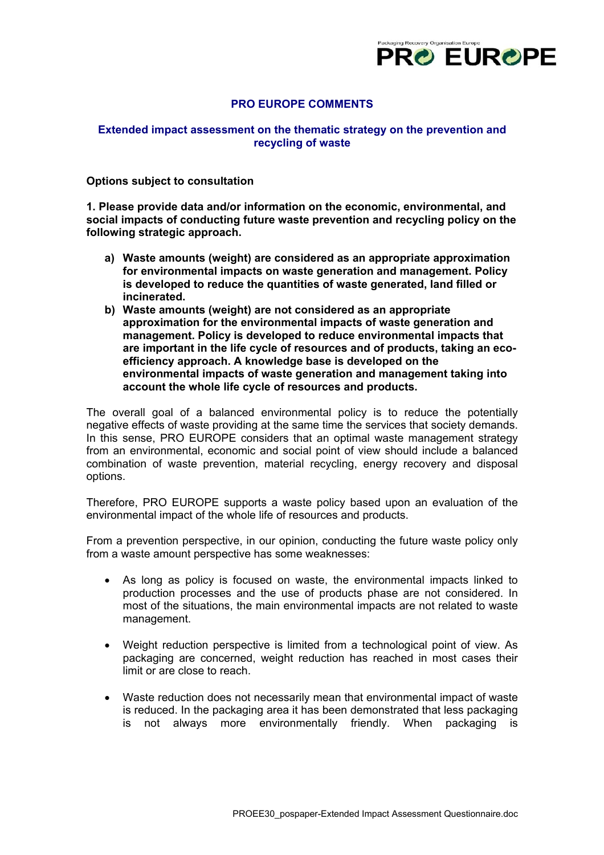

# **PRO EUROPE COMMENTS**

# **Extended impact assessment on the thematic strategy on the prevention and recycling of waste**

#### **Options subject to consultation**

**1. Please provide data and/or information on the economic, environmental, and social impacts of conducting future waste prevention and recycling policy on the following strategic approach.** 

- **a) Waste amounts (weight) are considered as an appropriate approximation for environmental impacts on waste generation and management. Policy is developed to reduce the quantities of waste generated, land filled or incinerated.**
- **b) Waste amounts (weight) are not considered as an appropriate approximation for the environmental impacts of waste generation and management. Policy is developed to reduce environmental impacts that are important in the life cycle of resources and of products, taking an ecoefficiency approach. A knowledge base is developed on the environmental impacts of waste generation and management taking into account the whole life cycle of resources and products.**

The overall goal of a balanced environmental policy is to reduce the potentially negative effects of waste providing at the same time the services that society demands. In this sense, PRO EUROPE considers that an optimal waste management strategy from an environmental, economic and social point of view should include a balanced combination of waste prevention, material recycling, energy recovery and disposal options.

Therefore, PRO EUROPE supports a waste policy based upon an evaluation of the environmental impact of the whole life of resources and products.

From a prevention perspective, in our opinion, conducting the future waste policy only from a waste amount perspective has some weaknesses:

- As long as policy is focused on waste, the environmental impacts linked to production processes and the use of products phase are not considered. In most of the situations, the main environmental impacts are not related to waste management.
- Weight reduction perspective is limited from a technological point of view. As packaging are concerned, weight reduction has reached in most cases their limit or are close to reach.
- Waste reduction does not necessarily mean that environmental impact of waste is reduced. In the packaging area it has been demonstrated that less packaging is not always more environmentally friendly. When packaging is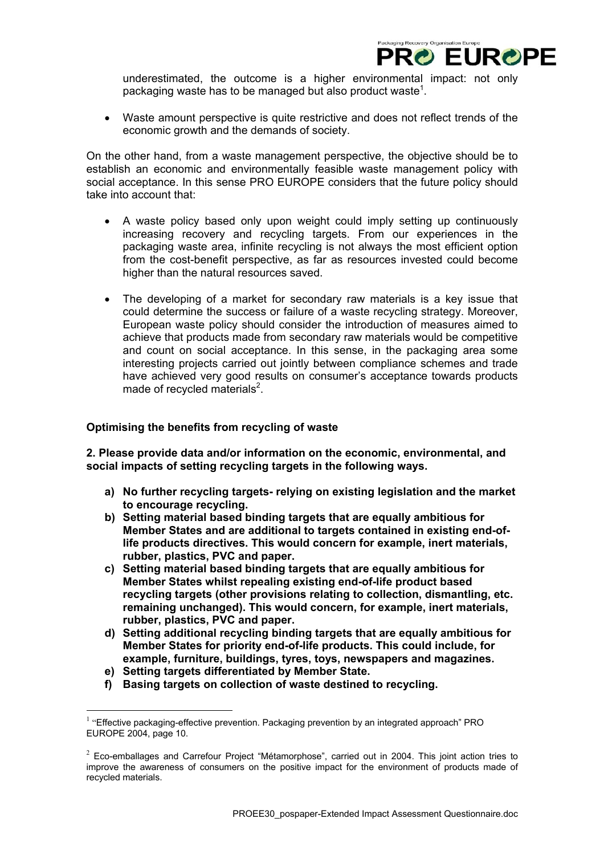

underestimated, the outcome is a higher environmental impact: not only packaging waste has to be managed but also product waste<sup>[1](#page-1-0)</sup>.

• Waste amount perspective is quite restrictive and does not reflect trends of the economic growth and the demands of society.

On the other hand, from a waste management perspective, the objective should be to establish an economic and environmentally feasible waste management policy with social acceptance. In this sense PRO EUROPE considers that the future policy should take into account that:

- A waste policy based only upon weight could imply setting up continuously increasing recovery and recycling targets. From our experiences in the packaging waste area, infinite recycling is not always the most efficient option from the cost-benefit perspective, as far as resources invested could become higher than the natural resources saved.
- The developing of a market for secondary raw materials is a key issue that could determine the success or failure of a waste recycling strategy. Moreover, European waste policy should consider the introduction of measures aimed to achieve that products made from secondary raw materials would be competitive and count on social acceptance. In this sense, in the packaging area some interesting projects carried out jointly between compliance schemes and trade have achieved very good results on consumer's acceptance towards products made of recycled materials $2$ .

## **Optimising the benefits from recycling of waste**

**2. Please provide data and/or information on the economic, environmental, and social impacts of setting recycling targets in the following ways.** 

- **a) No further recycling targets- relying on existing legislation and the market to encourage recycling.**
- **b) Setting material based binding targets that are equally ambitious for Member States and are additional to targets contained in existing end-oflife products directives. This would concern for example, inert materials, rubber, plastics, PVC and paper.**
- **c) Setting material based binding targets that are equally ambitious for Member States whilst repealing existing end-of-life product based recycling targets (other provisions relating to collection, dismantling, etc. remaining unchanged). This would concern, for example, inert materials, rubber, plastics, PVC and paper.**
- **d) Setting additional recycling binding targets that are equally ambitious for Member States for priority end-of-life products. This could include, for example, furniture, buildings, tyres, toys, newspapers and magazines.**
- **e) Setting targets differentiated by Member State.**

 $\overline{a}$ 

**f) Basing targets on collection of waste destined to recycling.** 

<span id="page-1-0"></span> $<sup>1</sup>$  "Effective packaging-effective prevention. Packaging prevention by an integrated approach" PRO</sup> EUROPE 2004, page 10.

<span id="page-1-1"></span> $2$  Eco-emballages and Carrefour Project "Métamorphose", carried out in 2004. This joint action tries to improve the awareness of consumers on the positive impact for the environment of products made of recycled materials.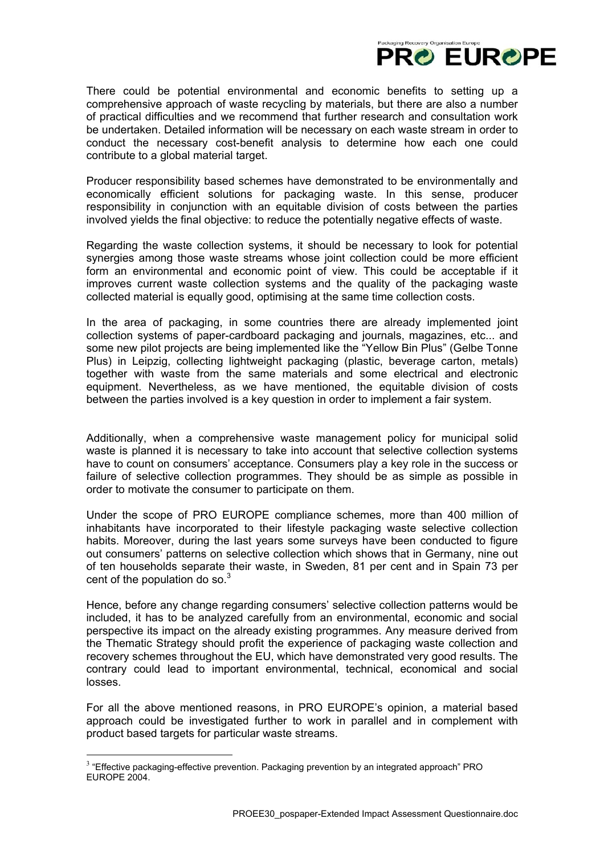

There could be potential environmental and economic benefits to setting up a comprehensive approach of waste recycling by materials, but there are also a number of practical difficulties and we recommend that further research and consultation work be undertaken. Detailed information will be necessary on each waste stream in order to conduct the necessary cost-benefit analysis to determine how each one could contribute to a global material target.

Producer responsibility based schemes have demonstrated to be environmentally and economically efficient solutions for packaging waste. In this sense, producer responsibility in conjunction with an equitable division of costs between the parties involved yields the final objective: to reduce the potentially negative effects of waste.

Regarding the waste collection systems, it should be necessary to look for potential synergies among those waste streams whose joint collection could be more efficient form an environmental and economic point of view. This could be acceptable if it improves current waste collection systems and the quality of the packaging waste collected material is equally good, optimising at the same time collection costs.

In the area of packaging, in some countries there are already implemented joint collection systems of paper-cardboard packaging and journals, magazines, etc... and some new pilot projects are being implemented like the "Yellow Bin Plus" (Gelbe Tonne Plus) in Leipzig, collecting lightweight packaging (plastic, beverage carton, metals) together with waste from the same materials and some electrical and electronic equipment. Nevertheless, as we have mentioned, the equitable division of costs between the parties involved is a key question in order to implement a fair system.

Additionally, when a comprehensive waste management policy for municipal solid waste is planned it is necessary to take into account that selective collection systems have to count on consumers' acceptance. Consumers play a key role in the success or failure of selective collection programmes. They should be as simple as possible in order to motivate the consumer to participate on them.

Under the scope of PRO EUROPE compliance schemes, more than 400 million of inhabitants have incorporated to their lifestyle packaging waste selective collection habits. Moreover, during the last years some surveys have been conducted to figure out consumers' patterns on selective collection which shows that in Germany, nine out of ten households separate their waste, in Sweden, 81 per cent and in Spain 73 per cent of the population do so. $3$ 

Hence, before any change regarding consumers' selective collection patterns would be included, it has to be analyzed carefully from an environmental, economic and social perspective its impact on the already existing programmes. Any measure derived from the Thematic Strategy should profit the experience of packaging waste collection and recovery schemes throughout the EU, which have demonstrated very good results. The contrary could lead to important environmental, technical, economical and social losses.

For all the above mentioned reasons, in PRO EUROPE's opinion, a material based approach could be investigated further to work in parallel and in complement with product based targets for particular waste streams.

 $\overline{a}$ 

<span id="page-2-0"></span> $3$  "Effective packaging-effective prevention. Packaging prevention by an integrated approach" PRO EUROPE 2004.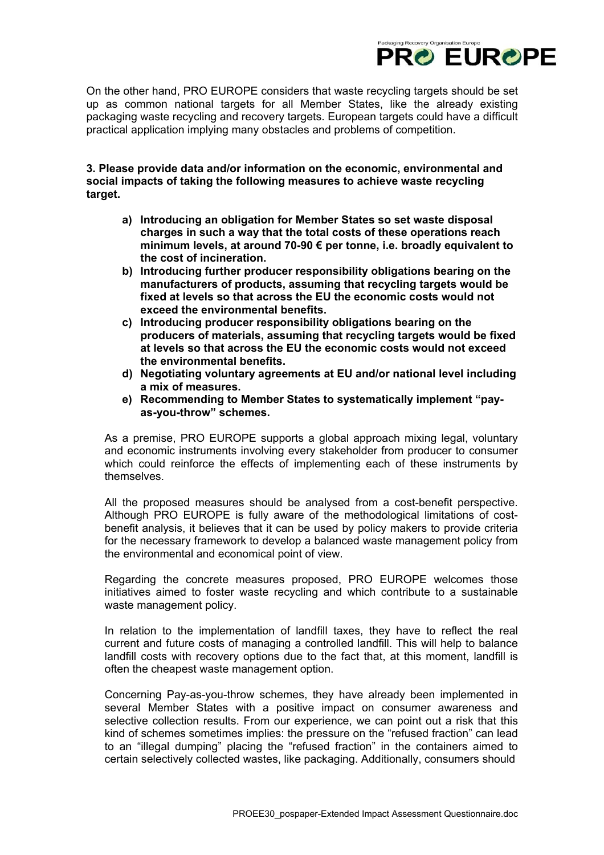

On the other hand, PRO EUROPE considers that waste recycling targets should be set up as common national targets for all Member States, like the already existing packaging waste recycling and recovery targets. European targets could have a difficult practical application implying many obstacles and problems of competition.

**3. Please provide data and/or information on the economic, environmental and social impacts of taking the following measures to achieve waste recycling target.** 

- **a) Introducing an obligation for Member States so set waste disposal charges in such a way that the total costs of these operations reach minimum levels, at around 70-90 € per tonne, i.e. broadly equivalent to the cost of incineration.**
- **b) Introducing further producer responsibility obligations bearing on the manufacturers of products, assuming that recycling targets would be fixed at levels so that across the EU the economic costs would not exceed the environmental benefits.**
- **c) Introducing producer responsibility obligations bearing on the producers of materials, assuming that recycling targets would be fixed at levels so that across the EU the economic costs would not exceed the environmental benefits.**
- **d) Negotiating voluntary agreements at EU and/or national level including a mix of measures.**
- **e) Recommending to Member States to systematically implement "payas-you-throw" schemes.**

As a premise, PRO EUROPE supports a global approach mixing legal, voluntary and economic instruments involving every stakeholder from producer to consumer which could reinforce the effects of implementing each of these instruments by themselves.

All the proposed measures should be analysed from a cost-benefit perspective. Although PRO EUROPE is fully aware of the methodological limitations of costbenefit analysis, it believes that it can be used by policy makers to provide criteria for the necessary framework to develop a balanced waste management policy from the environmental and economical point of view.

Regarding the concrete measures proposed, PRO EUROPE welcomes those initiatives aimed to foster waste recycling and which contribute to a sustainable waste management policy.

In relation to the implementation of landfill taxes, they have to reflect the real current and future costs of managing a controlled landfill. This will help to balance landfill costs with recovery options due to the fact that, at this moment, landfill is often the cheapest waste management option.

Concerning Pay-as-you-throw schemes, they have already been implemented in several Member States with a positive impact on consumer awareness and selective collection results. From our experience, we can point out a risk that this kind of schemes sometimes implies: the pressure on the "refused fraction" can lead to an "illegal dumping" placing the "refused fraction" in the containers aimed to certain selectively collected wastes, like packaging. Additionally, consumers should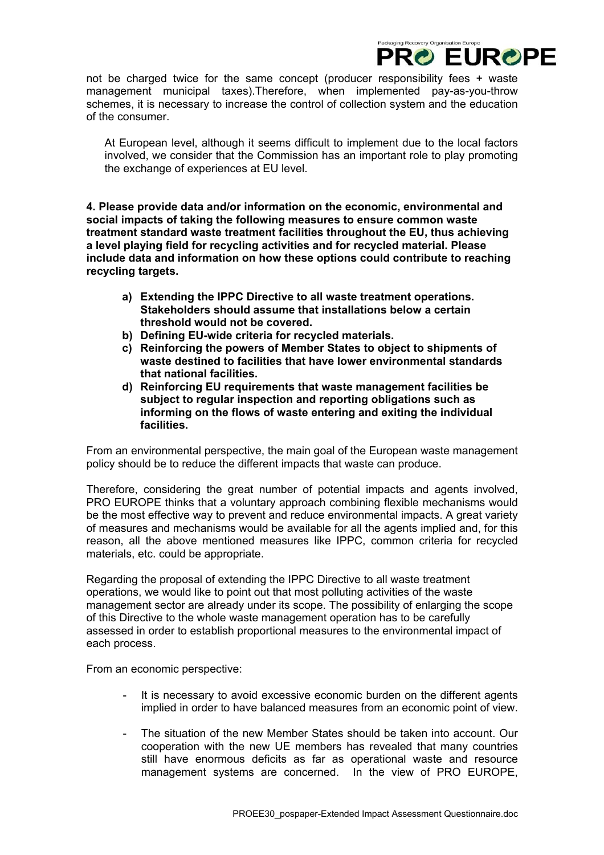not be charged twice for the same concept (producer responsibility fees + waste management municipal taxes).Therefore, when implemented pay-as-you-throw schemes, it is necessary to increase the control of collection system and the education of the consumer.

ckaging Recovery Organisation Europe

**PRO EUROPE** 

At European level, although it seems difficult to implement due to the local factors involved, we consider that the Commission has an important role to play promoting the exchange of experiences at EU level.

**4. Please provide data and/or information on the economic, environmental and social impacts of taking the following measures to ensure common waste treatment standard waste treatment facilities throughout the EU, thus achieving a level playing field for recycling activities and for recycled material. Please include data and information on how these options could contribute to reaching recycling targets.** 

- **a) Extending the IPPC Directive to all waste treatment operations. Stakeholders should assume that installations below a certain threshold would not be covered.**
- **b) Defining EU-wide criteria for recycled materials.**
- **c) Reinforcing the powers of Member States to object to shipments of waste destined to facilities that have lower environmental standards that national facilities.**
- **d) Reinforcing EU requirements that waste management facilities be subject to regular inspection and reporting obligations such as informing on the flows of waste entering and exiting the individual facilities.**

From an environmental perspective, the main goal of the European waste management policy should be to reduce the different impacts that waste can produce.

Therefore, considering the great number of potential impacts and agents involved, PRO EUROPE thinks that a voluntary approach combining flexible mechanisms would be the most effective way to prevent and reduce environmental impacts. A great variety of measures and mechanisms would be available for all the agents implied and, for this reason, all the above mentioned measures like IPPC, common criteria for recycled materials, etc. could be appropriate.

Regarding the proposal of extending the IPPC Directive to all waste treatment operations, we would like to point out that most polluting activities of the waste management sector are already under its scope. The possibility of enlarging the scope of this Directive to the whole waste management operation has to be carefully assessed in order to establish proportional measures to the environmental impact of each process.

From an economic perspective:

- It is necessary to avoid excessive economic burden on the different agents implied in order to have balanced measures from an economic point of view.
- The situation of the new Member States should be taken into account. Our cooperation with the new UE members has revealed that many countries still have enormous deficits as far as operational waste and resource management systems are concerned. In the view of PRO EUROPE,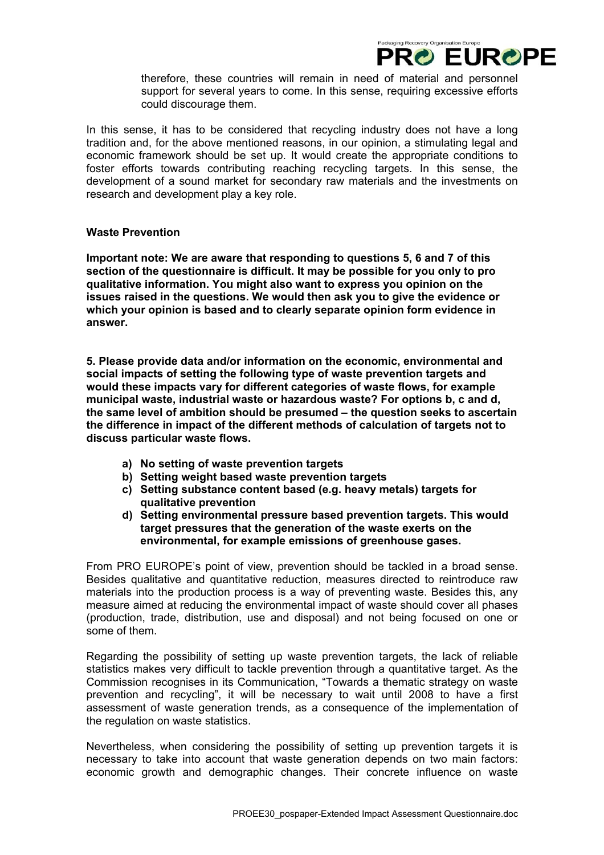therefore, these countries will remain in need of material and personnel support for several years to come. In this sense, requiring excessive efforts could discourage them.

Packaging Recovery Organisation Europe

**PRO EUROPE** 

In this sense, it has to be considered that recycling industry does not have a long tradition and, for the above mentioned reasons, in our opinion, a stimulating legal and economic framework should be set up. It would create the appropriate conditions to foster efforts towards contributing reaching recycling targets. In this sense, the development of a sound market for secondary raw materials and the investments on research and development play a key role.

# **Waste Prevention**

**Important note: We are aware that responding to questions 5, 6 and 7 of this section of the questionnaire is difficult. It may be possible for you only to pro qualitative information. You might also want to express you opinion on the issues raised in the questions. We would then ask you to give the evidence or which your opinion is based and to clearly separate opinion form evidence in answer.** 

**5. Please provide data and/or information on the economic, environmental and social impacts of setting the following type of waste prevention targets and would these impacts vary for different categories of waste flows, for example municipal waste, industrial waste or hazardous waste? For options b, c and d, the same level of ambition should be presumed – the question seeks to ascertain the difference in impact of the different methods of calculation of targets not to discuss particular waste flows.** 

- **a) No setting of waste prevention targets**
- **b) Setting weight based waste prevention targets**
- **c) Setting substance content based (e.g. heavy metals) targets for qualitative prevention**
- **d) Setting environmental pressure based prevention targets. This would target pressures that the generation of the waste exerts on the environmental, for example emissions of greenhouse gases.**

From PRO EUROPE's point of view, prevention should be tackled in a broad sense. Besides qualitative and quantitative reduction, measures directed to reintroduce raw materials into the production process is a way of preventing waste. Besides this, any measure aimed at reducing the environmental impact of waste should cover all phases (production, trade, distribution, use and disposal) and not being focused on one or some of them.

Regarding the possibility of setting up waste prevention targets, the lack of reliable statistics makes very difficult to tackle prevention through a quantitative target. As the Commission recognises in its Communication, "Towards a thematic strategy on waste prevention and recycling", it will be necessary to wait until 2008 to have a first assessment of waste generation trends, as a consequence of the implementation of the regulation on waste statistics.

Nevertheless, when considering the possibility of setting up prevention targets it is necessary to take into account that waste generation depends on two main factors: economic growth and demographic changes. Their concrete influence on waste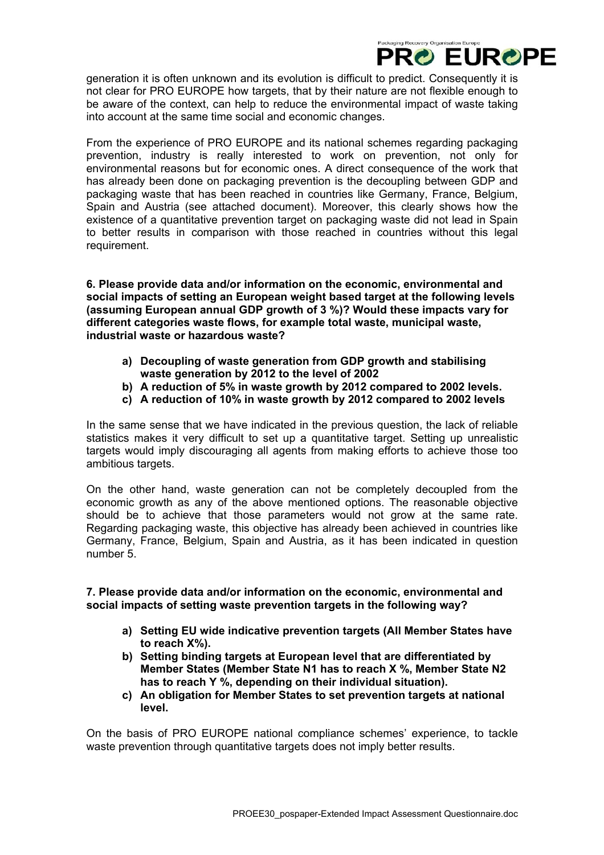generation it is often unknown and its evolution is difficult to predict. Consequently it is not clear for PRO EUROPE how targets, that by their nature are not flexible enough to be aware of the context, can help to reduce the environmental impact of waste taking into account at the same time social and economic changes.

ckaging Recovery Organisation Europ

**PRO EUROPE** 

From the experience of PRO EUROPE and its national schemes regarding packaging prevention, industry is really interested to work on prevention, not only for environmental reasons but for economic ones. A direct consequence of the work that has already been done on packaging prevention is the decoupling between GDP and packaging waste that has been reached in countries like Germany, France, Belgium, Spain and Austria (see attached document). Moreover, this clearly shows how the existence of a quantitative prevention target on packaging waste did not lead in Spain to better results in comparison with those reached in countries without this legal requirement.

**6. Please provide data and/or information on the economic, environmental and social impacts of setting an European weight based target at the following levels (assuming European annual GDP growth of 3 %)? Would these impacts vary for different categories waste flows, for example total waste, municipal waste, industrial waste or hazardous waste?** 

- **a) Decoupling of waste generation from GDP growth and stabilising waste generation by 2012 to the level of 2002**
- **b) A reduction of 5% in waste growth by 2012 compared to 2002 levels.**
- **c) A reduction of 10% in waste growth by 2012 compared to 2002 levels**

In the same sense that we have indicated in the previous question, the lack of reliable statistics makes it very difficult to set up a quantitative target. Setting up unrealistic targets would imply discouraging all agents from making efforts to achieve those too ambitious targets.

On the other hand, waste generation can not be completely decoupled from the economic growth as any of the above mentioned options. The reasonable objective should be to achieve that those parameters would not grow at the same rate. Regarding packaging waste, this objective has already been achieved in countries like Germany, France, Belgium, Spain and Austria, as it has been indicated in question number 5.

**7. Please provide data and/or information on the economic, environmental and social impacts of setting waste prevention targets in the following way?** 

- **a) Setting EU wide indicative prevention targets (All Member States have to reach X%).**
- **b) Setting binding targets at European level that are differentiated by Member States (Member State N1 has to reach X %, Member State N2 has to reach Y %, depending on their individual situation).**
- **c) An obligation for Member States to set prevention targets at national level.**

On the basis of PRO EUROPE national compliance schemes' experience, to tackle waste prevention through quantitative targets does not imply better results.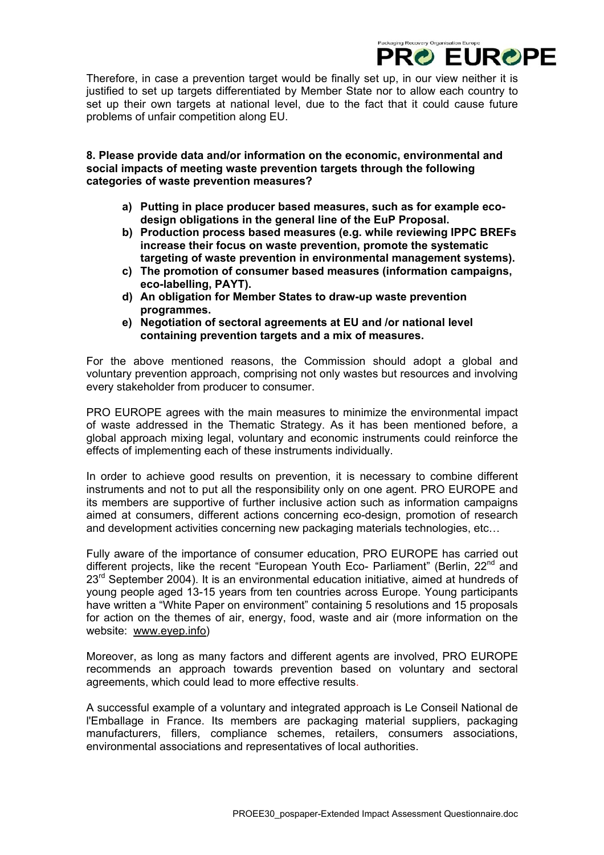Therefore, in case a prevention target would be finally set up, in our view neither it is justified to set up targets differentiated by Member State nor to allow each country to set up their own targets at national level, due to the fact that it could cause future problems of unfair competition along EU.

ckaging Recovery Organisation Europe

**PRO EUROPE** 

**8. Please provide data and/or information on the economic, environmental and social impacts of meeting waste prevention targets through the following categories of waste prevention measures?** 

- **a) Putting in place producer based measures, such as for example ecodesign obligations in the general line of the EuP Proposal.**
- **b) Production process based measures (e.g. while reviewing IPPC BREFs increase their focus on waste prevention, promote the systematic targeting of waste prevention in environmental management systems).**
- **c) The promotion of consumer based measures (information campaigns, eco-labelling, PAYT).**
- **d) An obligation for Member States to draw-up waste prevention programmes.**
- **e) Negotiation of sectoral agreements at EU and /or national level containing prevention targets and a mix of measures.**

For the above mentioned reasons, the Commission should adopt a global and voluntary prevention approach, comprising not only wastes but resources and involving every stakeholder from producer to consumer.

PRO EUROPE agrees with the main measures to minimize the environmental impact of waste addressed in the Thematic Strategy. As it has been mentioned before, a global approach mixing legal, voluntary and economic instruments could reinforce the effects of implementing each of these instruments individually.

In order to achieve good results on prevention, it is necessary to combine different instruments and not to put all the responsibility only on one agent. PRO EUROPE and its members are supportive of further inclusive action such as information campaigns aimed at consumers, different actions concerning eco-design, promotion of research and development activities concerning new packaging materials technologies, etc…

Fully aware of the importance of consumer education, PRO EUROPE has carried out different projects, like the recent "European Youth Eco- Parliament" (Berlin,  $22<sup>nd</sup>$  and 23<sup>rd</sup> September 2004). It is an environmental education initiative, aimed at hundreds of young people aged 13-15 years from ten countries across Europe. Young participants have written a "White Paper on environment" containing 5 resolutions and 15 proposals for action on the themes of air, energy, food, waste and air (more information on the website: [www.eyep.info](http://www.eyep.info/))

Moreover, as long as many factors and different agents are involved, PRO EUROPE recommends an approach towards prevention based on voluntary and sectoral agreements, which could lead to more effective results.

A successful example of a voluntary and integrated approach is Le Conseil National de l'Emballage in France. Its members are packaging material suppliers, packaging manufacturers, fillers, compliance schemes, retailers, consumers associations, environmental associations and representatives of local authorities.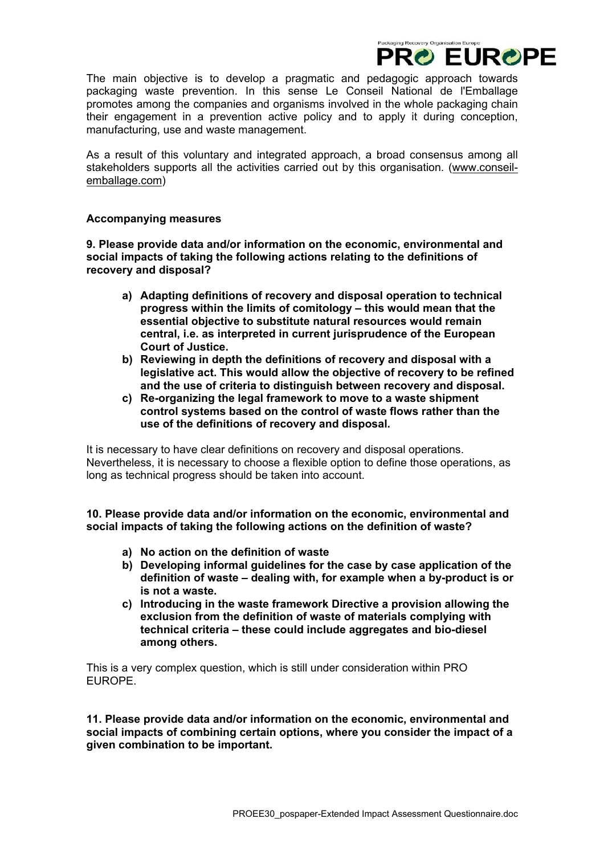The main objective is to develop a pragmatic and pedagogic approach towards packaging waste prevention. In this sense Le Conseil National de l'Emballage promotes among the companies and organisms involved in the whole packaging chain their engagement in a prevention active policy and to apply it during conception, manufacturing, use and waste management.

Packaging Recovery Organisation Europe

**PRO EUROPE** 

As a result of this voluntary and integrated approach, a broad consensus among all stakeholders supports all the activities carried out by this organisation. [\(www.conseil](http://www.conseil-emballage.com/)[emballage.com\)](http://www.conseil-emballage.com/)

# **Accompanying measures**

**9. Please provide data and/or information on the economic, environmental and social impacts of taking the following actions relating to the definitions of recovery and disposal?** 

- **a) Adapting definitions of recovery and disposal operation to technical progress within the limits of comitology – this would mean that the essential objective to substitute natural resources would remain central, i.e. as interpreted in current jurisprudence of the European Court of Justice.**
- **b) Reviewing in depth the definitions of recovery and disposal with a legislative act. This would allow the objective of recovery to be refined and the use of criteria to distinguish between recovery and disposal.**
- **c) Re-organizing the legal framework to move to a waste shipment control systems based on the control of waste flows rather than the use of the definitions of recovery and disposal.**

It is necessary to have clear definitions on recovery and disposal operations. Nevertheless, it is necessary to choose a flexible option to define those operations, as long as technical progress should be taken into account.

**10. Please provide data and/or information on the economic, environmental and social impacts of taking the following actions on the definition of waste?** 

- **a) No action on the definition of waste**
- **b) Developing informal guidelines for the case by case application of the definition of waste – dealing with, for example when a by-product is or is not a waste.**
- **c) Introducing in the waste framework Directive a provision allowing the exclusion from the definition of waste of materials complying with technical criteria – these could include aggregates and bio-diesel among others.**

This is a very complex question, which is still under consideration within PRO EUROPE.

**11. Please provide data and/or information on the economic, environmental and social impacts of combining certain options, where you consider the impact of a given combination to be important.**